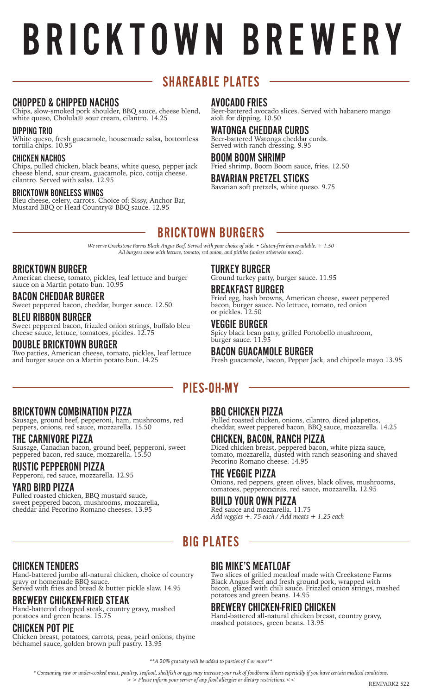# BRICKTOWN BREWERY

# **SHAREABLE PLATES**

## CHOPPED & CHIPPED NACHOS

Chips, slow-smoked pork shoulder, BBQ sauce, cheese blend, white queso, Cholula® sour cream, cilantro. 14.25

#### DIPPING TRIO

White queso, fresh guacamole, housemade salsa, bottomless tortilla chips. 10.95

#### CHICKEN NACHOS

Chips, pulled chicken, black beans, white queso, pepper jack cheese blend, sour cream, guacamole, pico, cotija cheese, cilantro. Served with salsa. 12.95

#### BRICKTOWN BONELESS WINGS

Bleu cheese, celery, carrots. Choice of: Sissy, Anchor Bar, Mustard BBQ or Head Country® BBQ sauce. 12.95

#### AVOCADO FRIES

Beer-battered avocado slices. Served with habanero mango aioli for dipping. 10.50

WATONGA CHEDDAR CURDS Beer-battered Watonga cheddar curds. Served with ranch dressing. 9.95

#### BOOM BOOM SHRIMP

Fried shrimp, Boom Boom sauce, fries. 12.50

#### BAVARIAN PRETZEL STICKS Bavarian soft pretzels, white queso. 9.75

# **BRICKTOWN BURGERS**

*We serve Creekstone Farms Black Angus Beef. Served with your choice of side. • Gluten-free bun available. + 1.50 All burgers come with lettuce, tomato, red onion, and pickles (unless otherwise noted).*

#### BRICKTOWN BURGER

American cheese, tomato, pickles, leaf lettuce and burger sauce on a Martin potato bun. 10.95

## BACON CHEDDAR BURGER

Sweet peppered bacon, cheddar, burger sauce. 12.50

#### BLEU RIBBON BURGER

Sweet peppered bacon, frizzled onion strings, buffalo bleu cheese sauce, lettuce, tomatoes, pickles. 12.75

#### DOUBLE BRICKTOWN BURGER

Two patties, American cheese, tomato, pickles, leaf lettuce and burger sauce on a Martin potato bun. 14.25

#### TURKEY BURGER

Ground turkey patty, burger sauce. 11.95

## BREAKFAST BURGER

Fried egg, hash browns, American cheese, sweet peppered bacon, burger sauce. No lettuce, tomato, red onion or pickles. 12.50

#### VEGGIE BURGER

Spicy black bean patty, grilled Portobello mushroom, burger sauce. 11.95

#### BACON GUACAMOLE BURGER

Fresh guacamole, bacon, Pepper Jack, and chipotle mayo 13.95

# **PIES-OH-MY**

#### BRICKTOWN COMBINATION PIZZA

Sausage, ground beef, pepperoni, ham, mushrooms, red peppers, onions, red sauce, mozzarella. 15.50

#### THE CARNIVORE PIZZA

Sausage, Canadian bacon, ground beef, pepperoni, sweet peppered bacon, red sauce, mozzarella. 15.50

## RUSTIC PEPPERONI PIZZA

Pepperoni, red sauce, mozzarella. 12.95

#### YARD BIRD PIZZA

Pulled roasted chicken, BBQ mustard sauce, sweet peppered bacon, mushrooms, mozzarella, cheddar and Pecorino Romano cheeses. 13.95

## BBQ CHICKEN PIZZA

Pulled roasted chicken, onions, cilantro, diced jalapeños, cheddar, sweet peppered bacon, BBQ sauce, mozzarella. 14.25

# CHICKEN, BACON, RANCH PIZZA

Diced chicken breast, peppered bacon, white pizza sauce, tomato, mozzarella, dusted with ranch seasoning and shaved Pecorino Romano cheese. 14.95

#### THE VEGGIE PIZZA

Onions, red peppers, green olives, black olives, mushrooms, tomatoes, pepperoncinis, red sauce, mozzarella. 12.95

#### BUILD YOUR OWN PIZZA

Red sauce and mozzarella. 11.75 *Add veggies +. 75 each / Add meats + 1.25 each*

# **BIG PLATES**

#### CHICKEN TENDERS

Hand-battered jumbo all-natural chicken, choice of country gravy or homemade BBQ sauce. Served with fries and bread & butter pickle slaw. 14.95

#### BREWERY CHICKEN-FRIED STEAK

Hand-battered chopped steak, country gravy, mashed potatoes and green beans. 15.75

#### CHICKEN POT PIE

Chicken breast, potatoes, carrots, peas, pearl onions, thyme béchamel sauce, golden brown puff pastry. 13.95

#### BIG MIKE'S MEATLOAF

Two slices of grilled meatloaf made with Creekstone Farms Black Angus Beef and fresh ground pork, wrapped with bacon, glazed with chili sauce. Frizzled onion strings, mashed potatoes and green beans. 14.95

#### BREWERY CHICKEN-FRIED CHICKEN

Hand-battered all-natural chicken breast, country gravy, mashed potatoes, green beans. 13.95

*\*\*A 20% gratuity will be added to parties of 6 or more\*\**

*\* Consuming raw or under-cooked meat, poultry, seafood, shellfish or eggs may increase your risk of foodborne illness especially if you have certain medical conditions.*